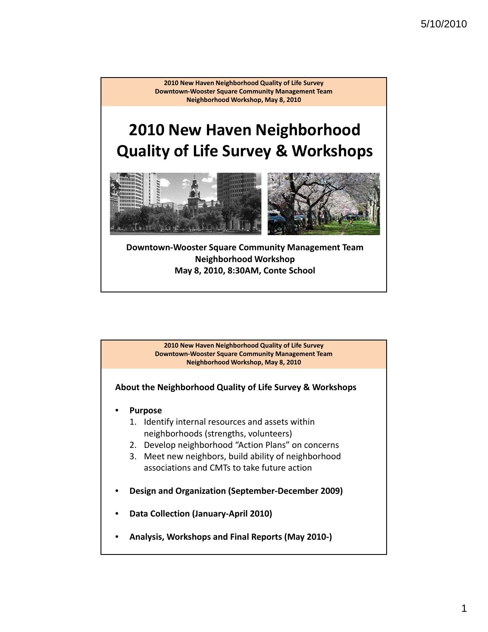# **2010 New Haven Neighborhood Quality of Life Survey & Workshops**



**Downtown‐Wooster Square Community Management Team Neighborhood Workshop May 8, 2010, 8:30AM, Conte School**

> **2010 New Haven Neighborhood Quality of Life Survey Downtown‐Wooster Square Community Management Team Neighborhood Workshop, May 8, 2010**

**About the Neighborhood Quality of Life Survey & Workshops**

- **Purpose**
	- 1. Identify internal resources and assets within neighborhoods (strengths, volunteers)
	- 2. Develop neighborhood "Action Plans" on concerns
	- 3. Meet new neighbors, build ability of neighborhood associations and CMTs to take future action
- **Design and Organization (September‐December 2009)**
- **Data Collection (January‐April 2010)**
- **Analysis, Workshops and Final Reports (May 2010‐)**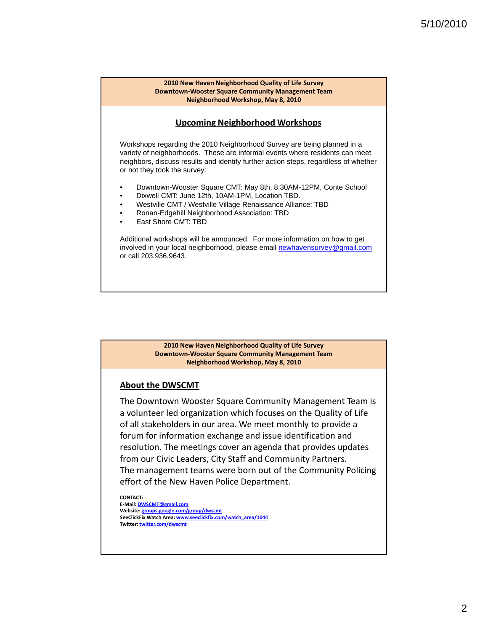#### **Upcoming Neighborhood Workshops**

Workshops regarding the 2010 Neighborhood Survey are being planned in a variety of neighborhoods. These are informal events where residents can meet neighbors, discuss results and identify further action steps, regardless of whether or not they took the survey:

- Downtown-Wooster Square CMT: May 8th, 8:30AM-12PM, Conte School
- Dixwell CMT: June 12th, 10AM-1PM, Location TBD.
- Westville CMT / Westville Village Renaissance Alliance: TBD
- Ronan-Edgehill Neighborhood Association: TBD
- East Shore CMT: TBD

Additional workshops will be announced. For more information on how to get involved in your local neighborhood, please email newhavensurvey@gmail.com or call 203.936.9643.

#### **2010 New Haven Neighborhood Quality of Life Survey Downtown‐Wooster Square Community Management Team Neighborhood Workshop, May 8, 2010**

#### **About the DWSCMT**

The Downtown Wooster Square Community Management Team is a volunteer led organization which focuses on the Quality of Life of all stakeholders in our area. We meet monthly to provide a forum for information exchange and issue identification and resolution. The meetings cover an agenda that provides updates from our Civic Leaders, City Staff and Community Partners. The management teams were born out of the Community Policing effort of the New Haven Police Department.

**CONTACT: E‐Mail: DWSCMT@gmail.com Website: groups.google.com/group/dwscmt SeeClickFix Watch Area: www.seeclickfix.com/watch\_area/1044 Twitter: twitter.com/dwscmt**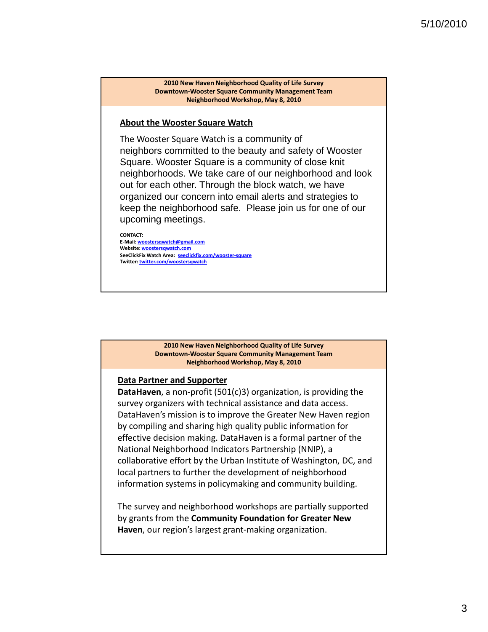#### **About the Wooster Square Watch**

The Wooster Square Watch is a community of neighbors committed to the beauty and safety of Wooster Square. Wooster Square is a community of close knit neighborhoods. We take care of our neighborhood and look out for each other. Through the block watch, we have organized our concern into email alerts and strategies to keep the neighborhood safe. Please join us for one of our upcoming meetings.

**CONTACT: E‐Mail: woostersqwatch@gmail.com Website: woostersqwatch.com SeeClickFix Watch Area: seeclickfix.com/wooster‐square Twitter: twitter.com/woostersqwatch**

#### **2010 New Haven Neighborhood Quality of Life Survey Downtown‐Wooster Square Community Management Team Neighborhood Workshop, May 8, 2010**

#### **Data Partner and Supporter**

**DataHaven**, a non‐profit (501(c)3) organization, is providing the survey organizers with technical assistance and data access. DataHaven's mission is to improve the Greater New Haven region by compiling and sharing high quality public information for effective decision making. DataHaven is a formal partner of the National Neighborhood Indicators Partnership (NNIP), a collaborative effort by the Urban Institute of Washington, DC, and local partners to further the development of neighborhood information systems in policymaking and community building.

The survey and neighborhood workshops are partially supported by grants from the **Community Foundation for Greater New Haven**, our region's largest grant‐making organization.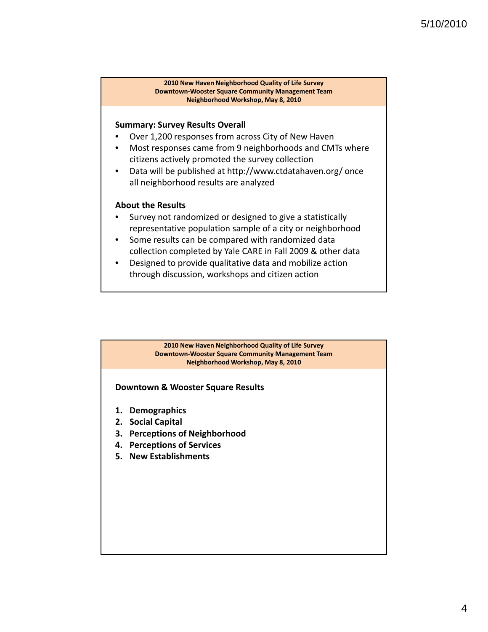#### **Summary: Survey Results Overall**

- Over 1,200 responses from across City of New Haven
- Most responses came from 9 neighborhoods and CMTs where citizens actively promoted the survey collection
- Data will be published at http://www.ctdatahaven.org/ once all neighborhood results are analyzed

#### **About the Results**

- Survey not randomized or designed to give a statistically representative population sample of a city or neighborhood
- Some results can be compared with randomized data collection completed by Yale CARE in Fall 2009 & other data
- Designed to provide qualitative data and mobilize action through discussion, workshops and citizen action

#### **2010 New Haven Neighborhood Quality of Life Survey Downtown‐Wooster Square Community Management Team Neighborhood Workshop, May 8, 2010**

#### **Downtown & Wooster Square Results**

- **1. Demographics**
- **2. Social Capital**
- **3. Perceptions of Neighborhood**
- **4. Perceptions of Services**
- **5. New Establishments**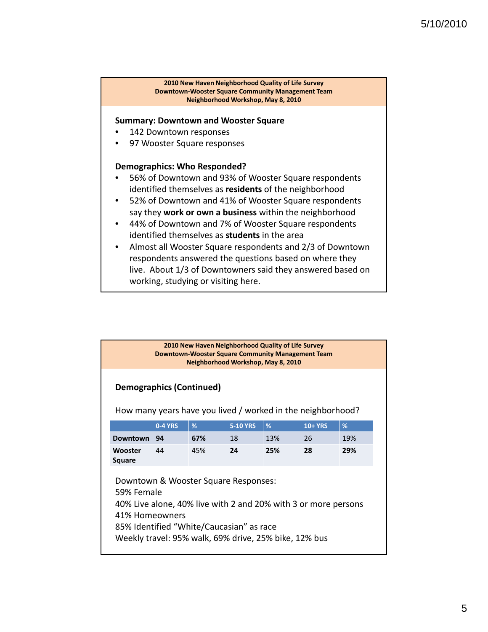#### **Summary: Downtown and Wooster Square**

- 142 Downtown responses
- 97 Wooster Square responses

#### **Demographics: Who Responded?**

- 56% of Downtown and 93% of Wooster Square respondents identified themselves as **residents** of the neighborhood
- 52% of Downtown and 41% of Wooster Square respondents say they **work or own a business** within the neighborhood
- 44% of Downtown and 7% of Wooster Square respondents identified themselves as **students** in the area
- Almost all Wooster Square respondents and 2/3 of Downtown respondents answered the questions based on where they live. About 1/3 of Downtowners said they answered based on working, studying or visiting here.

| 2010 New Haven Neighborhood Quality of Life Survey<br>Downtown-Wooster Square Community Management Team<br>Neighborhood Workshop, May 8, 2010                                                                                               |                |     |                 |     |                |     |  |
|---------------------------------------------------------------------------------------------------------------------------------------------------------------------------------------------------------------------------------------------|----------------|-----|-----------------|-----|----------------|-----|--|
| <b>Demographics (Continued)</b>                                                                                                                                                                                                             |                |     |                 |     |                |     |  |
| How many years have you lived / worked in the neighborhood?                                                                                                                                                                                 |                |     |                 |     |                |     |  |
|                                                                                                                                                                                                                                             | <b>0-4 YRS</b> | %   | <b>5-10 YRS</b> | %   | <b>10+ YRS</b> | %   |  |
| <b>Downtown</b>                                                                                                                                                                                                                             | 94             | 67% | 18              | 13% | 26             | 19% |  |
| Wooster<br><b>Square</b>                                                                                                                                                                                                                    | 44             | 45% | 24              | 25% | 28             | 29% |  |
| Downtown & Wooster Square Responses:<br>59% Female<br>40% Live alone, 40% live with 2 and 20% with 3 or more persons<br>41% Homeowners<br>85% Identified "White/Caucasian" as race<br>Weekly travel: 95% walk, 69% drive, 25% bike, 12% bus |                |     |                 |     |                |     |  |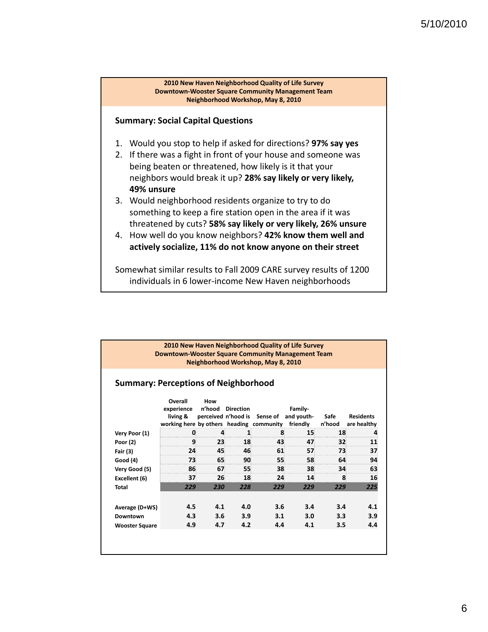

#### **Summary: Social Capital Questions**

- 1. Would you stop to help if asked for directions? **97% say yes**
- 2. If there was a fight in front of your house and someone was being beaten or threatened, how likely is it that your neighbors would break it up? **28% say likely or very likely, 49% unsure**
- 3. Would neighborhood residents organize to try to do something to keep a fire station open in the area if it was **threatened by cuts? 58% say likely or very likely, 26% unsure**
- 4. How well do you know neighbors? **42% know them well and actively socialize, 11% do not know anyone on their street**

Somewhat similar results to Fall 2009 CARE survey results of 1200 individuals in 6 lower‐income New Haven neighborhoods

|                                             |                                                                               |               |                  | Neighborhood Workshop, May 8, 2010 |                                   |                |                                 |
|---------------------------------------------|-------------------------------------------------------------------------------|---------------|------------------|------------------------------------|-----------------------------------|----------------|---------------------------------|
| <b>Summary: Perceptions of Neighborhood</b> |                                                                               |               |                  |                                    |                                   |                |                                 |
|                                             | Overall<br>experience<br>living &<br>working here by others heading community | How<br>n'hood | <b>Direction</b> | perceived n'hood is Sense of       | Family-<br>and youth-<br>friendly | Safe<br>n'hood | <b>Residents</b><br>are healthy |
| Very Poor (1)                               | $\mathbf{0}$                                                                  | 4             | 1                | 8                                  | 15                                | 18             | 4                               |
| Poor (2)                                    | 9                                                                             | 23            | 18               | 43                                 | 47                                | 32             | 11                              |
| Fair (3)                                    | 24                                                                            | 45            | 46               | 61                                 | 57                                | 73             | 37                              |
| Good (4)                                    | 73                                                                            | 65            | 90               | 55                                 | 58                                | 64             | 94                              |
| Very Good (5)                               | 86                                                                            | 67            | 55               | 38                                 | 38                                | 34             | 63                              |
| Excellent (6)                               | 37                                                                            | 26            | 18               | 24                                 | 14                                | 8              | 16                              |
| <b>Total</b>                                | 229                                                                           | 230           | 228              | 229                                | 229                               | 229            | 225                             |
|                                             |                                                                               |               |                  |                                    |                                   |                |                                 |
| Average (D+WS)                              | 4.5                                                                           | 4.1           | 4.0              | 3.6                                | 3.4                               | 3.4            | 4.1                             |
| Downtown                                    | 4.3                                                                           | 3.6           | 3.9              | 3.1                                | 3.0                               | 3.3            | 3.9                             |
| <b>Wooster Square</b>                       | 4.9                                                                           | 4.7           | 4.2              | 4.4                                | 4.1                               | 3.5            | 4.4                             |

## 6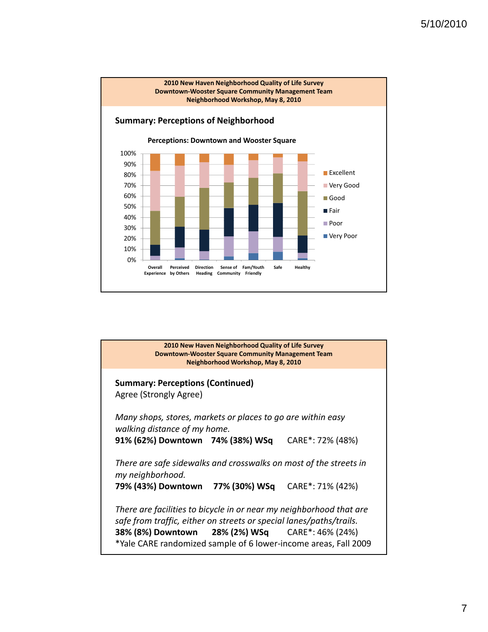

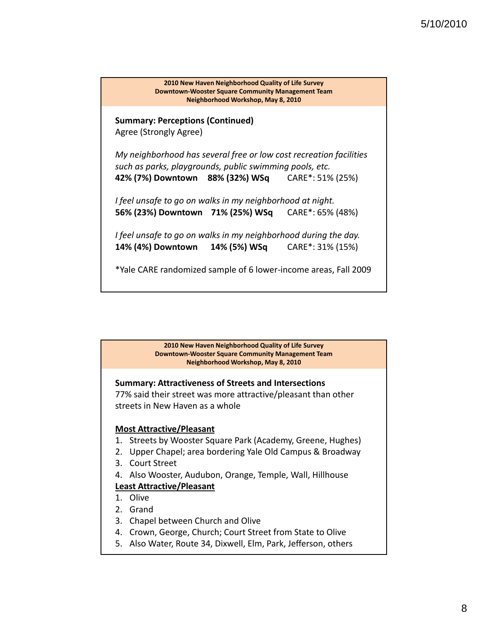

#### **Summary: Attractiveness of Streets and Intersections**

77% said their street was more attractive/pleasant than other streets in New Haven as a whole

#### **Most Attractive/Pleasant**

- 1. Streets by Wooster Square Park (Academy, Greene, Hughes)
- 2. Upper Chapel; area bordering Yale Old Campus & Broadway
- 3. Court Street
- 4. Also Wooster, Audubon, Orange, Temple, Wall, Hillhouse

#### **Least Attractive/Pleasant**

- 1. Olive
- 2. Grand
- 3. Chapel between Church and Olive
- 4. Crown, George, Church; Court Street from State to Olive
- 5. Also Water, Route 34, Dixwell, Elm, Park, Jefferson, others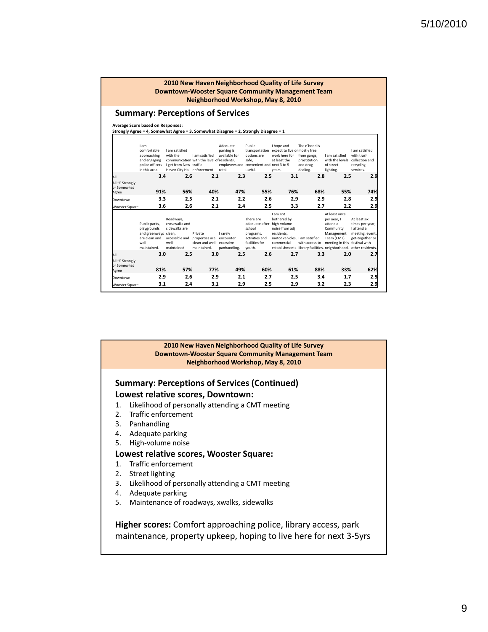#### **Summary: Perceptions of Services**

**Average Score based on Responses:**

**Strongly Agree = 4, Somewhat Agree = 3, Somewhat Disagree = 2, Strongly Disagree = 1**

|                                         | 3.1                                                                                           | 2.4                                                                                   | 3.1                                                                   | 2.9                                                | 2.5                                                                                                           | 2.9                                                                                                    | 3.2                                                                                  | 2.3                                                                                                                | 2.9                                                                                 |
|-----------------------------------------|-----------------------------------------------------------------------------------------------|---------------------------------------------------------------------------------------|-----------------------------------------------------------------------|----------------------------------------------------|---------------------------------------------------------------------------------------------------------------|--------------------------------------------------------------------------------------------------------|--------------------------------------------------------------------------------------|--------------------------------------------------------------------------------------------------------------------|-------------------------------------------------------------------------------------|
| Downtown                                | 2.9                                                                                           | 2.6                                                                                   | 2.9                                                                   | 2.1                                                | 2.7                                                                                                           | 2.5                                                                                                    | 3.4                                                                                  | 1.7                                                                                                                | 2.5                                                                                 |
| All: % Strongly<br>or Somewhat<br>Agree | 81%                                                                                           | 57%                                                                                   | 77%                                                                   | 49%                                                | 60%                                                                                                           | 61%                                                                                                    | 88%                                                                                  | 33%                                                                                                                | 62%                                                                                 |
| All                                     | 3.0                                                                                           | 2.5                                                                                   | 3.0                                                                   | 2.5                                                | 2.6                                                                                                           | 2.7                                                                                                    | 3.3                                                                                  | 2.0                                                                                                                | 2.7                                                                                 |
|                                         | Public parks,<br>playgrounds<br>and greenways clean,<br>are clean and<br>well-<br>maintained. | Roadways.<br>crosswalks and<br>sidewalks are<br>accessible and<br>well-<br>maintained | Private<br>properties are<br>clean and well- excessive<br>maintained. | I rarely<br>encounter<br>panhandling.              | There are<br>adequate after- high-volume<br>school<br>programs,<br>activities and<br>facilities for<br>vouth. | Lam not<br>bothered by<br>noise from adi<br>residents.<br>motor vehicles. I am satisfied<br>commercial | with access to<br>establishments. library facilities. neighborhood. other residents. | At least once<br>per year, I<br>attend a<br>Community<br>Management<br>Team (CMT)<br>meeting in this festival with | At least six<br>times per year,<br>I attend a<br>meeting, event,<br>get-together or |
| <b>Wooster Square</b>                   | 3.6                                                                                           | 2.6                                                                                   | 2.1                                                                   | 2.4                                                | 2.5                                                                                                           | 3.3                                                                                                    | 2.7                                                                                  | 2.2                                                                                                                | 2.9                                                                                 |
| Downtown                                | 3.3                                                                                           | 2.5                                                                                   | 2.1                                                                   | 2.2                                                | 2.6                                                                                                           | 2.9                                                                                                    | 2.9                                                                                  | 2.8                                                                                                                | 2.9                                                                                 |
| All: % Strongly<br>or Somewhat<br>Agree | 91%                                                                                           | 56%                                                                                   | 40%                                                                   | 47%                                                | 55%                                                                                                           | 76%                                                                                                    | 68%                                                                                  | 55%                                                                                                                | 74%                                                                                 |
| All                                     | 3.4                                                                                           | 2.6                                                                                   | 2.1                                                                   | 2.3                                                | 2.5                                                                                                           | 3.1                                                                                                    | 2.8                                                                                  | 2.5                                                                                                                | 2.9                                                                                 |
|                                         | I am<br>comfortable<br>approaching<br>and engaging<br>police officers<br>in this area.        | I am satisfied<br>with the<br>Leet from New traffic<br>Haven City Hall. enforcement   | I am satisfied<br>communication with the level of residents.          | Adequate<br>parking is<br>available for<br>retail. | Public<br>transportation<br>options are<br>safe.<br>employees and convenient and next 3 to 5<br>useful.       | I hope and<br>expect to live or mostly free<br>work here for<br>at least the<br>years.                 | The n'hood is<br>from gangs.<br>prostitution<br>and drug<br>dealing.                 | I am satisfied<br>with the levels collection and<br>of street<br>lighting.                                         | I am satisfied<br>with trash<br>recycling<br>services.                              |

#### **2010 New Haven Neighborhood Quality of Life Survey Downtown‐Wooster Square Community Management Team Neighborhood Workshop, May 8, 2010**

#### **Summary: Perceptions of Services (Continued) Lowest relative scores, Downtown:**

- 1. Likelihood of personally attending a CMT meeting
- 2. Traffic enforcement
- 3. Panhandling
- 4. Adequate parking
- 5. High‐volume noise

#### **Lowest relative scores, Wooster Square:**

- 1. Traffic enforcement
- 2. Street lighting
- 3. Likelihood of personally attending a CMT meeting
- 4. Adequate parking
- 5. Maintenance of roadways, xwalks, sidewalks

**Higher scores:** Comfort approaching police, library access, park maintenance, property upkeep, hoping to live here for next 3‐5yrs